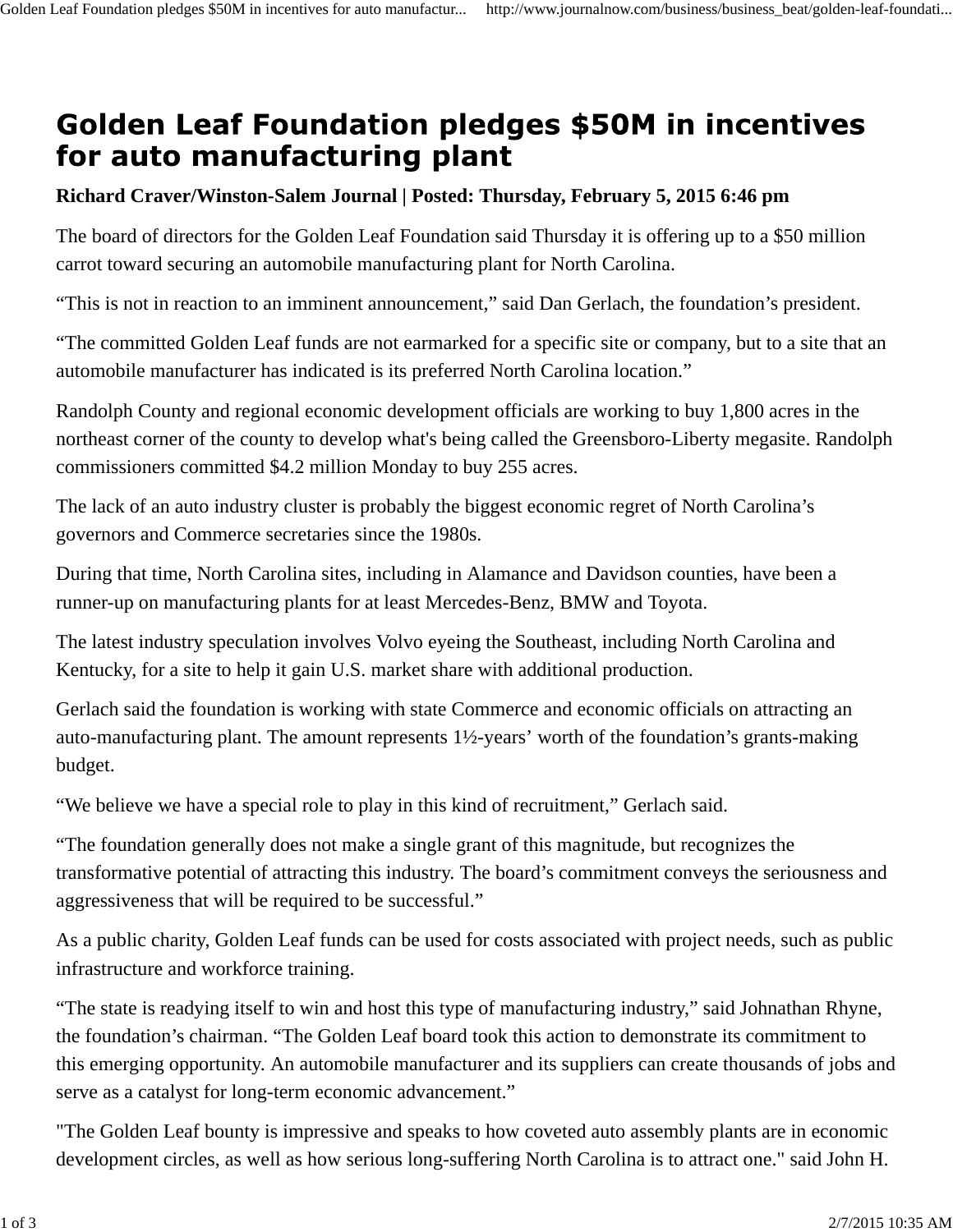## **Golden Leaf Foundation pledges \$50M in incentives** for auto manufacturing plant

## **Richard Craver/Winston-Salem Journal | Posted: Thursday, February 5, 2015 6:46 pm**

The board of directors for the Golden Leaf Foundation said Thursday it is offering up to a \$50 million carrot toward securing an automobile manufacturing plant for North Carolina.

"This is not in reaction to an imminent announcement," said Dan Gerlach, the foundation's president.

"The committed Golden Leaf funds are not earmarked for a specific site or company, but to a site that an automobile manufacturer has indicated is its preferred North Carolina location."

Randolph County and regional economic development officials are working to buy 1,800 acres in the northeast corner of the county to develop what's being called the Greensboro-Liberty megasite. Randolph commissioners committed \$4.2 million Monday to buy 255 acres.

The lack of an auto industry cluster is probably the biggest economic regret of North Carolina's governors and Commerce secretaries since the 1980s.

During that time, North Carolina sites, including in Alamance and Davidson counties, have been a runner-up on manufacturing plants for at least Mercedes-Benz, BMW and Toyota.

The latest industry speculation involves Volvo eyeing the Southeast, including North Carolina and Kentucky, for a site to help it gain U.S. market share with additional production.

Gerlach said the foundation is working with state Commerce and economic officials on attracting an auto-manufacturing plant. The amount represents 1½-years' worth of the foundation's grants-making budget.

"We believe we have a special role to play in this kind of recruitment," Gerlach said.

"The foundation generally does not make a single grant of this magnitude, but recognizes the transformative potential of attracting this industry. The board's commitment conveys the seriousness and aggressiveness that will be required to be successful."

As a public charity, Golden Leaf funds can be used for costs associated with project needs, such as public infrastructure and workforce training.

"The state is readying itself to win and host this type of manufacturing industry," said Johnathan Rhyne, the foundation's chairman. "The Golden Leaf board took this action to demonstrate its commitment to this emerging opportunity. An automobile manufacturer and its suppliers can create thousands of jobs and serve as a catalyst for long-term economic advancement."

"The Golden Leaf bounty is impressive and speaks to how coveted auto assembly plants are in economic development circles, as well as how serious long-suffering North Carolina is to attract one." said John H.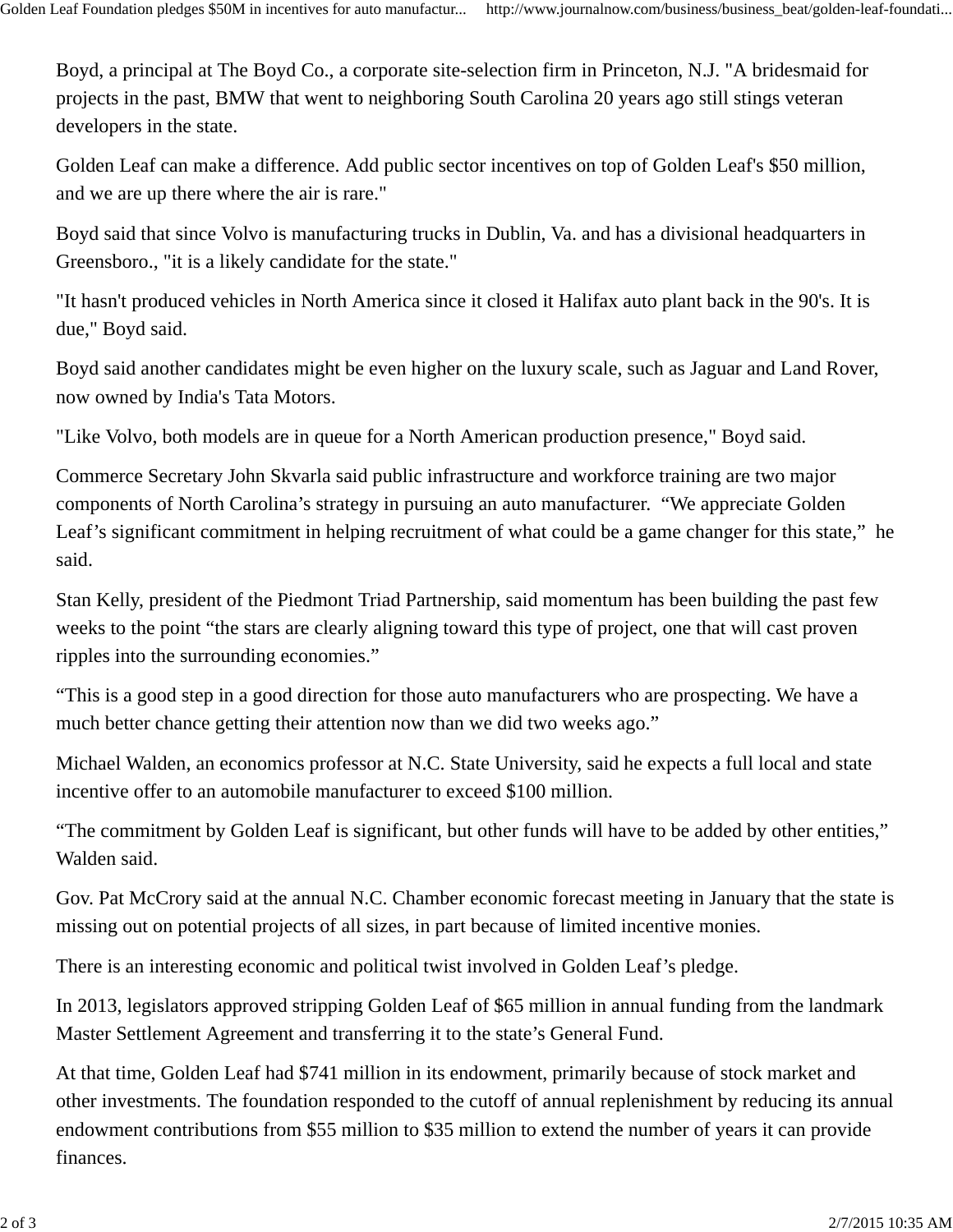Boyd, a principal at The Boyd Co., a corporate site-selection firm in Princeton, N.J. "A bridesmaid for projects in the past, BMW that went to neighboring South Carolina 20 years ago still stings veteran developers in the state.

Golden Leaf can make a difference. Add public sector incentives on top of Golden Leaf's \$50 million, and we are up there where the air is rare."

Boyd said that since Volvo is manufacturing trucks in Dublin, Va. and has a divisional headquarters in Greensboro., "it is a likely candidate for the state."

"It hasn't produced vehicles in North America since it closed it Halifax auto plant back in the 90's. It is due," Boyd said.

Boyd said another candidates might be even higher on the luxury scale, such as Jaguar and Land Rover, now owned by India's Tata Motors.

"Like Volvo, both models are in queue for a North American production presence," Boyd said.

Commerce Secretary John Skvarla said public infrastructure and workforce training are two major components of North Carolina's strategy in pursuing an auto manufacturer. "We appreciate Golden Leaf's significant commitment in helping recruitment of what could be a game changer for this state," he said.

Stan Kelly, president of the Piedmont Triad Partnership, said momentum has been building the past few weeks to the point "the stars are clearly aligning toward this type of project, one that will cast proven ripples into the surrounding economies."

"This is a good step in a good direction for those auto manufacturers who are prospecting. We have a much better chance getting their attention now than we did two weeks ago."

Michael Walden, an economics professor at N.C. State University, said he expects a full local and state incentive offer to an automobile manufacturer to exceed \$100 million.

"The commitment by Golden Leaf is significant, but other funds will have to be added by other entities," Walden said.

Gov. Pat McCrory said at the annual N.C. Chamber economic forecast meeting in January that the state is missing out on potential projects of all sizes, in part because of limited incentive monies.

There is an interesting economic and political twist involved in Golden Leaf's pledge.

In 2013, legislators approved stripping Golden Leaf of \$65 million in annual funding from the landmark Master Settlement Agreement and transferring it to the state's General Fund.

At that time, Golden Leaf had \$741 million in its endowment, primarily because of stock market and other investments. The foundation responded to the cutoff of annual replenishment by reducing its annual endowment contributions from \$55 million to \$35 million to extend the number of years it can provide finances.